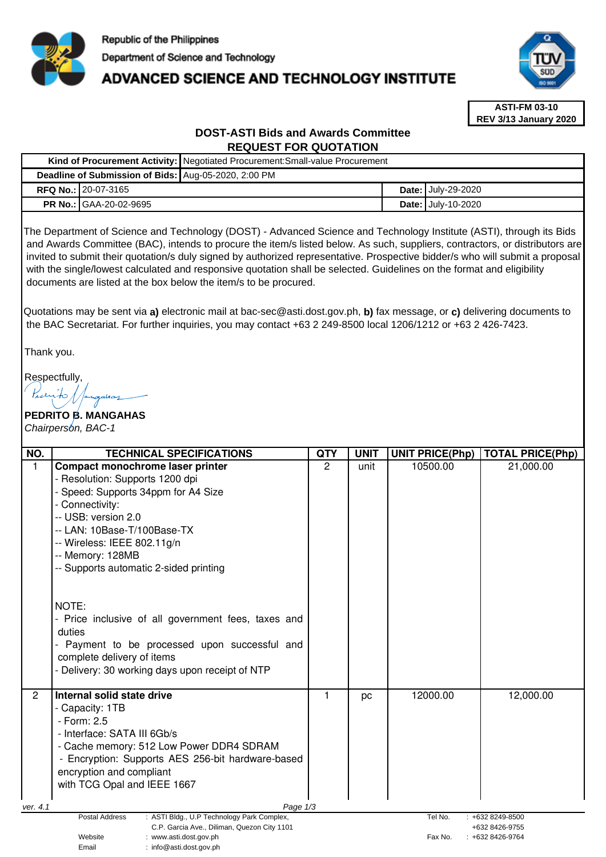

# **ADVANCED SCIENCE AND TECHNOLOGY INSTITUTE**



**ASTI-FM 03-10 REV 3/13 January 2020**

# **DOST-ASTI Bids and Awards Committee REQUEST FOR QUOTATION**

|                                                      | Kind of Procurement Activity: Negotiated Procurement: Small-value Procurement |  |                           |  |  |
|------------------------------------------------------|-------------------------------------------------------------------------------|--|---------------------------|--|--|
| Deadline of Submission of Bids: Aug-05-2020, 2:00 PM |                                                                               |  |                           |  |  |
| <b>RFQ No.: 20-07-3165</b>                           |                                                                               |  | <b>Date: July-29-2020</b> |  |  |
| <b>PR No.: GAA-20-02-9695</b>                        |                                                                               |  | <b>Date: July-10-2020</b> |  |  |

The Department of Science and Technology (DOST) - Advanced Science and Technology Institute (ASTI), through its Bids and Awards Committee (BAC), intends to procure the item/s listed below. As such, suppliers, contractors, or distributors are invited to submit their quotation/s duly signed by authorized representative. Prospective bidder/s who will submit a proposal with the single/lowest calculated and responsive quotation shall be selected. Guidelines on the format and eligibility documents are listed at the box below the item/s to be procured.

Quotations may be sent via **a)** electronic mail at bac-sec@asti.dost.gov.ph, **b)** fax message, or **c)** delivering documents to the BAC Secretariat. For further inquiries, you may contact +63 2 249-8500 local 1206/1212 or +63 2 426-7423.

Thank you.

Respectfully,

# **PEDRITO B. MANGAHAS**  Chairperson, BAC-1

| NO.                                                                                       | <b>TECHNICAL SPECIFICATIONS</b>                     | <b>QTY</b>    | <b>UNIT</b> | <b>UNIT PRICE(Php)</b> | <b>TOTAL PRICE(Php)</b> |
|-------------------------------------------------------------------------------------------|-----------------------------------------------------|---------------|-------------|------------------------|-------------------------|
| 1                                                                                         | Compact monochrome laser printer                    | $\mathcal{P}$ | unit        | 10500.00               | 21,000.00               |
|                                                                                           | - Resolution: Supports 1200 dpi                     |               |             |                        |                         |
|                                                                                           | - Speed: Supports 34ppm for A4 Size                 |               |             |                        |                         |
|                                                                                           | - Connectivity:                                     |               |             |                        |                         |
|                                                                                           | -- USB: version 2.0                                 |               |             |                        |                         |
|                                                                                           | -- LAN: 10Base-T/100Base-TX                         |               |             |                        |                         |
|                                                                                           | -- Wireless: IEEE 802.11g/n                         |               |             |                        |                         |
|                                                                                           | -- Memory: 128MB                                    |               |             |                        |                         |
|                                                                                           | -- Supports automatic 2-sided printing              |               |             |                        |                         |
|                                                                                           |                                                     |               |             |                        |                         |
|                                                                                           |                                                     |               |             |                        |                         |
|                                                                                           | NOTE:                                               |               |             |                        |                         |
|                                                                                           | - Price inclusive of all government fees, taxes and |               |             |                        |                         |
|                                                                                           | duties                                              |               |             |                        |                         |
|                                                                                           | - Payment to be processed upon successful and       |               |             |                        |                         |
|                                                                                           | complete delivery of items                          |               |             |                        |                         |
|                                                                                           | - Delivery: 30 working days upon receipt of NTP     |               |             |                        |                         |
|                                                                                           |                                                     |               |             |                        |                         |
| $\overline{2}$                                                                            | Internal solid state drive                          |               | pc          | 12000.00               | 12,000.00               |
|                                                                                           | - Capacity: 1TB                                     |               |             |                        |                         |
|                                                                                           | - Form: 2.5                                         |               |             |                        |                         |
|                                                                                           | - Interface: SATA III 6Gb/s                         |               |             |                        |                         |
|                                                                                           | - Cache memory: 512 Low Power DDR4 SDRAM            |               |             |                        |                         |
|                                                                                           | - Encryption: Supports AES 256-bit hardware-based   |               |             |                        |                         |
|                                                                                           | encryption and compliant                            |               |             |                        |                         |
|                                                                                           | with TCG Opal and IEEE 1667                         |               |             |                        |                         |
|                                                                                           |                                                     |               |             |                        |                         |
| Page 1/3<br>ver. 4.1<br>Postal Address<br>Tel No.<br>$: +6328249 - 8500$                  |                                                     |               |             |                        |                         |
| : ASTI Bldg., U.P Technology Park Complex,<br>C.P. Garcia Ave., Diliman, Quezon City 1101 |                                                     |               |             |                        | +632 8426-9755          |
| Website<br>: www.asti.dost.gov.ph                                                         |                                                     |               |             | Fax No.                | $: +6328426-9764$       |
|                                                                                           | Email<br>: info@asti.dost.gov.ph                    |               |             |                        |                         |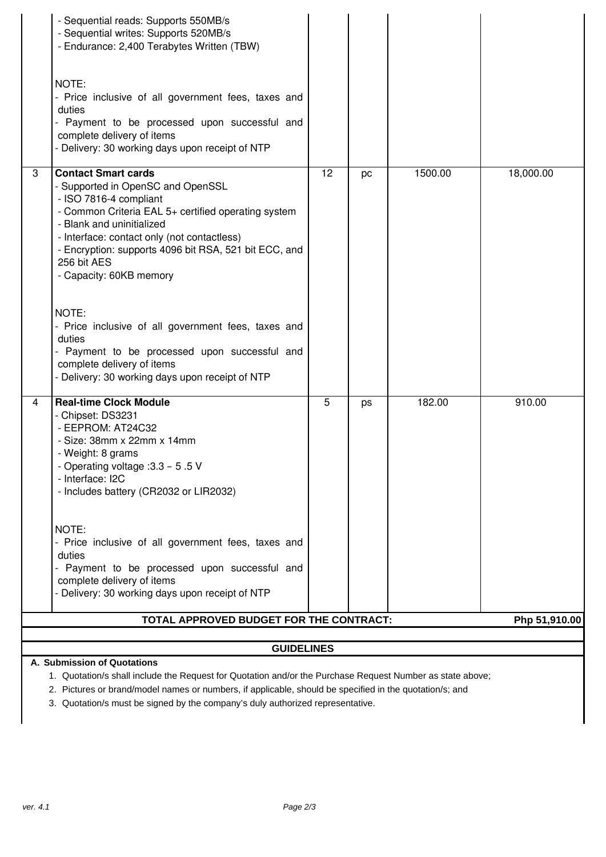|                                                                                                                                                                                                                                                                                                                                       | - Sequential reads: Supports 550MB/s<br>- Sequential writes: Supports 520MB/s<br>- Endurance: 2,400 Terabytes Written (TBW)                                                                                                                                                                                                     |    |    |         |           |  |  |
|---------------------------------------------------------------------------------------------------------------------------------------------------------------------------------------------------------------------------------------------------------------------------------------------------------------------------------------|---------------------------------------------------------------------------------------------------------------------------------------------------------------------------------------------------------------------------------------------------------------------------------------------------------------------------------|----|----|---------|-----------|--|--|
|                                                                                                                                                                                                                                                                                                                                       | NOTE:<br>- Price inclusive of all government fees, taxes and<br>duties<br>- Payment to be processed upon successful and<br>complete delivery of items<br>- Delivery: 30 working days upon receipt of NTP                                                                                                                        |    |    |         |           |  |  |
| 3                                                                                                                                                                                                                                                                                                                                     | <b>Contact Smart cards</b><br>- Supported in OpenSC and OpenSSL<br>- ISO 7816-4 compliant<br>- Common Criteria EAL 5+ certified operating system<br>- Blank and uninitialized<br>- Interface: contact only (not contactless)<br>- Encryption: supports 4096 bit RSA, 521 bit ECC, and<br>256 bit AES<br>- Capacity: 60KB memory | 12 | pc | 1500.00 | 18,000.00 |  |  |
|                                                                                                                                                                                                                                                                                                                                       | NOTE:<br>- Price inclusive of all government fees, taxes and<br>duties<br>- Payment to be processed upon successful and<br>complete delivery of items<br>- Delivery: 30 working days upon receipt of NTP                                                                                                                        |    |    |         |           |  |  |
| 4                                                                                                                                                                                                                                                                                                                                     | <b>Real-time Clock Module</b><br>- Chipset: DS3231<br>- EEPROM: AT24C32<br>- Size: 38mm x 22mm x 14mm<br>- Weight: 8 grams<br>- Operating voltage : 3.3 - 5.5 V<br>- Interface: I2C<br>- Includes battery (CR2032 or LIR2032)                                                                                                   | 5  | ps | 182.00  | 910.00    |  |  |
|                                                                                                                                                                                                                                                                                                                                       | NOTE:<br>- Price inclusive of all government fees, taxes and<br>duties<br>- Payment to be processed upon successful and<br>complete delivery of items<br>- Delivery: 30 working days upon receipt of NTP                                                                                                                        |    |    |         |           |  |  |
|                                                                                                                                                                                                                                                                                                                                       | TOTAL APPROVED BUDGET FOR THE CONTRACT:<br>Php 51,910.00                                                                                                                                                                                                                                                                        |    |    |         |           |  |  |
| <b>GUIDELINES</b>                                                                                                                                                                                                                                                                                                                     |                                                                                                                                                                                                                                                                                                                                 |    |    |         |           |  |  |
| A. Submission of Quotations<br>1. Quotation/s shall include the Request for Quotation and/or the Purchase Request Number as state above;<br>2. Pictures or brand/model names or numbers, if applicable, should be specified in the quotation/s; and<br>3. Quotation/s must be signed by the company's duly authorized representative. |                                                                                                                                                                                                                                                                                                                                 |    |    |         |           |  |  |